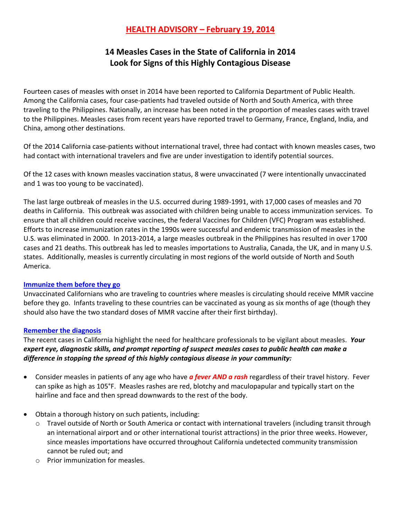## **HEALTH ADVISORY – February 19, 2014**

# **14 Measles Cases in the State of California in 2014 Look for Signs of this Highly Contagious Disease**

Fourteen cases of measles with onset in 2014 have been reported to California Department of Public Health. Among the California cases, four case-patients had traveled outside of North and South America, with three traveling to the Philippines. Nationally, an increase has been noted in the proportion of measles cases with travel to the Philippines. Measles cases from recent years have reported travel to Germany, France, England, India, and China, among other destinations.

Of the 2014 California case-patients without international travel, three had contact with known measles cases, two had contact with international travelers and five are under investigation to identify potential sources.

Of the 12 cases with known measles vaccination status, 8 were unvaccinated (7 were intentionally unvaccinated and 1 was too young to be vaccinated).

The last large outbreak of measles in the U.S. occurred during 1989-1991, with 17,000 cases of measles and 70 deaths in California. This outbreak was associated with children being unable to access immunization services. To ensure that all children could receive vaccines, the federal Vaccines for Children (VFC) Program was established. Efforts to increase immunization rates in the 1990s were successful and endemic transmission of measles in the U.S. was eliminated in 2000. In 2013-2014, a large measles outbreak in the Philippines has resulted in over 1700 cases and 21 deaths. This outbreak has led to measles importations to Australia, Canada, the UK, and in many U.S. states. Additionally, measles is currently circulating in most regions of the world outside of North and South America.

### **Immunize them before they go**

Unvaccinated Californians who are traveling to countries where measles is circulating should receive MMR vaccine before they go. Infants traveling to these countries can be vaccinated as young as six months of age (though they should also have the two standard doses of MMR vaccine after their first birthday).

#### **Remember the diagnosis**

The recent cases in California highlight the need for healthcare professionals to be vigilant about measles. *Your expert eye, diagnostic skills, and prompt reporting of suspect measles cases to public health can make a difference in stopping the spread of this highly contagious disease in your community:*

- Consider measles in patients of any age who have *a fever AND a rash* regardless of their travel history. Fever can spike as high as 105°F. Measles rashes are red, blotchy and maculopapular and typically start on the hairline and face and then spread downwards to the rest of the body.
- Obtain a thorough history on such patients, including:
	- o Travel outside of North or South America or contact with international travelers (including transit through an international airport and or other international tourist attractions) in the prior three weeks. However, since measles importations have occurred throughout California undetected community transmission cannot be ruled out; and
	- o Prior immunization for measles.